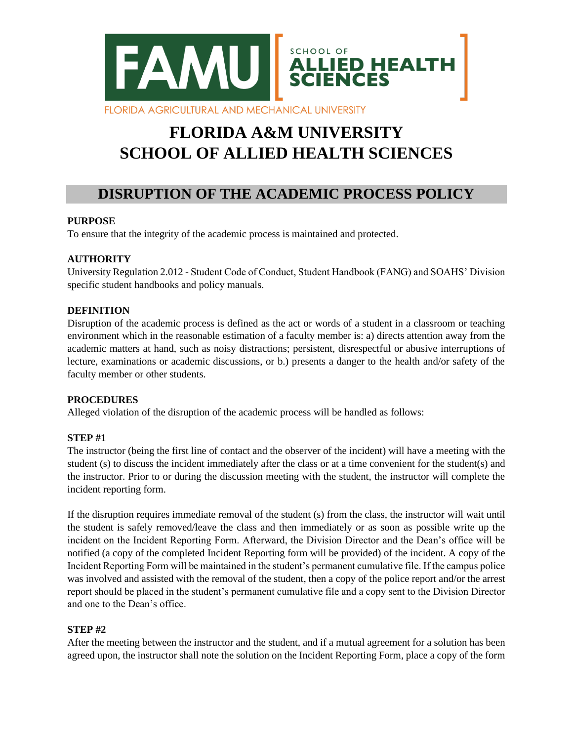

# **FLORIDA A&M UNIVERSITY SCHOOL OF ALLIED HEALTH SCIENCES**

# **DISRUPTION OF THE ACADEMIC PROCESS POLICY**

# **PURPOSE**

To ensure that the integrity of the academic process is maintained and protected.

#### **AUTHORITY**

University Regulation 2.012 - Student Code of Conduct, Student Handbook (FANG) and SOAHS' Division specific student handbooks and policy manuals.

#### **DEFINITION**

Disruption of the academic process is defined as the act or words of a student in a classroom or teaching environment which in the reasonable estimation of a faculty member is: a) directs attention away from the academic matters at hand, such as noisy distractions; persistent, disrespectful or abusive interruptions of lecture, examinations or academic discussions, or b.) presents a danger to the health and/or safety of the faculty member or other students.

# **PROCEDURES**

Alleged violation of the disruption of the academic process will be handled as follows:

# **STEP #1**

The instructor (being the first line of contact and the observer of the incident) will have a meeting with the student (s) to discuss the incident immediately after the class or at a time convenient for the student(s) and the instructor. Prior to or during the discussion meeting with the student, the instructor will complete the incident reporting form.

If the disruption requires immediate removal of the student (s) from the class, the instructor will wait until the student is safely removed/leave the class and then immediately or as soon as possible write up the incident on the Incident Reporting Form. Afterward, the Division Director and the Dean's office will be notified (a copy of the completed Incident Reporting form will be provided) of the incident. A copy of the Incident Reporting Form will be maintained in the student's permanent cumulative file. If the campus police was involved and assisted with the removal of the student, then a copy of the police report and/or the arrest report should be placed in the student's permanent cumulative file and a copy sent to the Division Director and one to the Dean's office.

#### **STEP #2**

After the meeting between the instructor and the student, and if a mutual agreement for a solution has been agreed upon, the instructor shall note the solution on the Incident Reporting Form, place a copy of the form